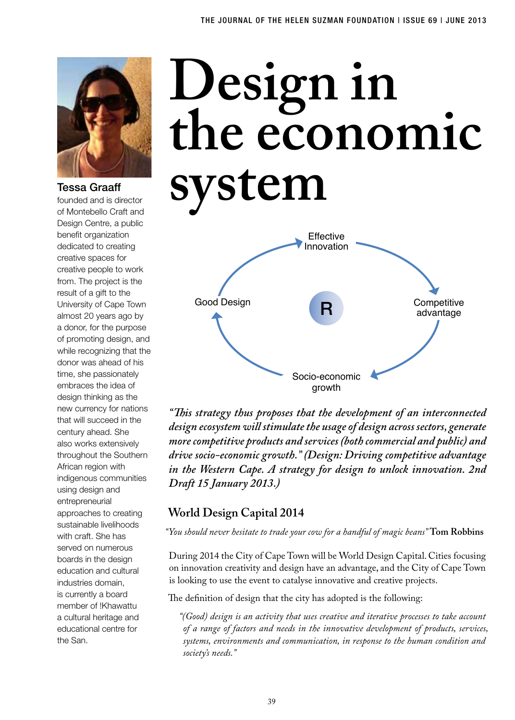

### Tessa Graaff

founded and is director Design Centre, a public benefit organization dedicated to creating creative spaces for creative people to work from. The project is the result of a gift to the University of Cape Town almost 20 years ago by a donor, for the purpose of promoting design, and while recognizing that the donor was ahead of his time, she passionately embraces the idea of design thinking as the new currency for nations that will succeed in the century ahead. She also works extensively throughout the Southern African region with indigenous communities using design and entrepreneurial approaches to creating sustainable livelihoods with craft. She has served on numerous boards in the design education and cultural industries domain, is currently a board member of !Khawattu a cultural heritage and educational centre for the San.

# **Design in the economic**  Tessa Graaff<br>founded and is director<br>of Montebello Craft and



*"This strategy thus proposes that the development of an interconnected design ecosystem will stimulate the usage of design across sectors, generate more competitive products and services (both commercial and public) and drive socio-economic growth." (Design: Driving competitive advantage in the Western Cape. A strategy for design to unlock innovation. 2nd Draft 15 January 2013.)*

# **World Design Capital 2014**

*"You should never hesitate to trade your cow for a handful of magic beans"* **Tom Robbins**

During 2014 the City of Cape Town will be World Design Capital. Cities focusing on innovation creativity and design have an advantage, and the City of Cape Town is looking to use the event to catalyse innovative and creative projects.

The definition of design that the city has adopted is the following:

*"(Good) design is an activity that uses creative and iterative processes to take account of a range of factors and needs in the innovative development of products, services, systems, environments and communication, in response to the human condition and society's needs."*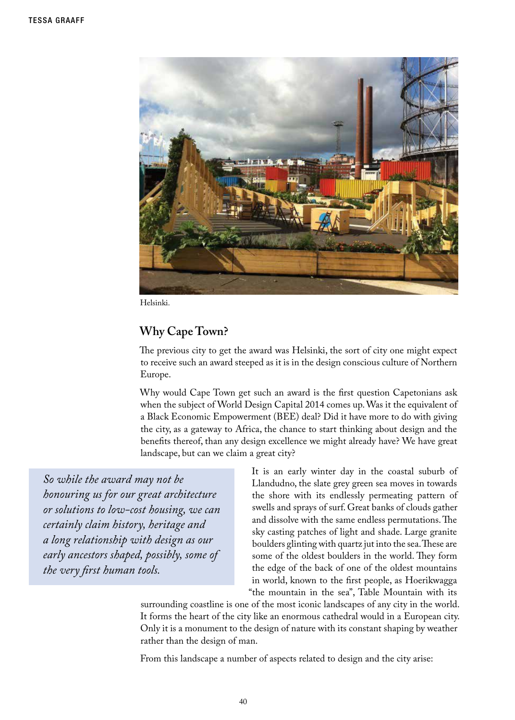

Helsinki.

# **Why Cape Town?**

The previous city to get the award was Helsinki, the sort of city one might expect to receive such an award steeped as it is in the design conscious culture of Northern Europe.

Why would Cape Town get such an award is the first question Capetonians ask when the subject of World Design Capital 2014 comes up. Was it the equivalent of a Black Economic Empowerment (BEE) deal? Did it have more to do with giving the city, as a gateway to Africa, the chance to start thinking about design and the benefits thereof, than any design excellence we might already have? We have great landscape, but can we claim a great city?

*So while the award may not be honouring us for our great architecture or solutions to low-cost housing, we can certainly claim history, heritage and a long relationship with design as our early ancestors shaped, possibly, some of the very first human tools.*

It is an early winter day in the coastal suburb of Llandudno, the slate grey green sea moves in towards the shore with its endlessly permeating pattern of swells and sprays of surf. Great banks of clouds gather and dissolve with the same endless permutations. The sky casting patches of light and shade. Large granite boulders glinting with quartz jut into the sea. These are some of the oldest boulders in the world. They form the edge of the back of one of the oldest mountains in world, known to the first people, as Hoerikwagga "the mountain in the sea", Table Mountain with its

surrounding coastline is one of the most iconic landscapes of any city in the world. It forms the heart of the city like an enormous cathedral would in a European city. Only it is a monument to the design of nature with its constant shaping by weather rather than the design of man.

From this landscape a number of aspects related to design and the city arise: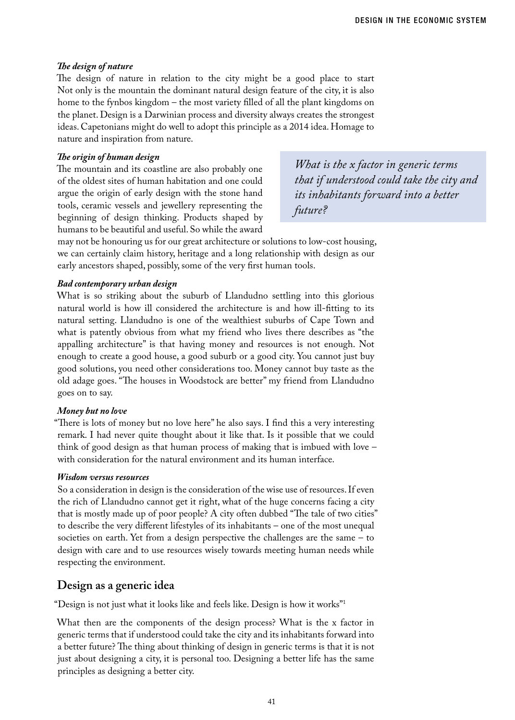#### *The design of nature*

The design of nature in relation to the city might be a good place to start Not only is the mountain the dominant natural design feature of the city, it is also home to the fynbos kingdom – the most variety filled of all the plant kingdoms on the planet. Design is a Darwinian process and diversity always creates the strongest ideas. Capetonians might do well to adopt this principle as a 2014 idea. Homage to nature and inspiration from nature.

#### *The origin of human design*

The mountain and its coastline are also probably one of the oldest sites of human habitation and one could argue the origin of early design with the stone hand tools, ceramic vessels and jewellery representing the beginning of design thinking. Products shaped by humans to be beautiful and useful. So while the award

*What is the x factor in generic terms that if understood could take the city and its inhabitants forward into a better future?* 

may not be honouring us for our great architecture or solutions to low-cost housing, we can certainly claim history, heritage and a long relationship with design as our early ancestors shaped, possibly, some of the very first human tools.

#### *Bad contemporary urban design*

What is so striking about the suburb of Llandudno settling into this glorious natural world is how ill considered the architecture is and how ill-fitting to its natural setting. Llandudno is one of the wealthiest suburbs of Cape Town and what is patently obvious from what my friend who lives there describes as "the appalling architecture" is that having money and resources is not enough. Not enough to create a good house, a good suburb or a good city. You cannot just buy good solutions, you need other considerations too. Money cannot buy taste as the old adage goes. "The houses in Woodstock are better" my friend from Llandudno goes on to say.

#### *Money but no love*

"There is lots of money but no love here" he also says. I find this a very interesting remark. I had never quite thought about it like that. Is it possible that we could think of good design as that human process of making that is imbued with love – with consideration for the natural environment and its human interface.

#### *Wisdom versus resources*

So a consideration in design is the consideration of the wise use of resources. If even the rich of Llandudno cannot get it right, what of the huge concerns facing a city that is mostly made up of poor people? A city often dubbed "The tale of two cities" to describe the very different lifestyles of its inhabitants – one of the most unequal societies on earth. Yet from a design perspective the challenges are the same – to design with care and to use resources wisely towards meeting human needs while respecting the environment.

#### **Design as a generic idea**

"Design is not just what it looks like and feels like. Design is how it works"1

What then are the components of the design process? What is the x factor in generic terms that if understood could take the city and its inhabitants forward into a better future? The thing about thinking of design in generic terms is that it is not just about designing a city, it is personal too. Designing a better life has the same principles as designing a better city.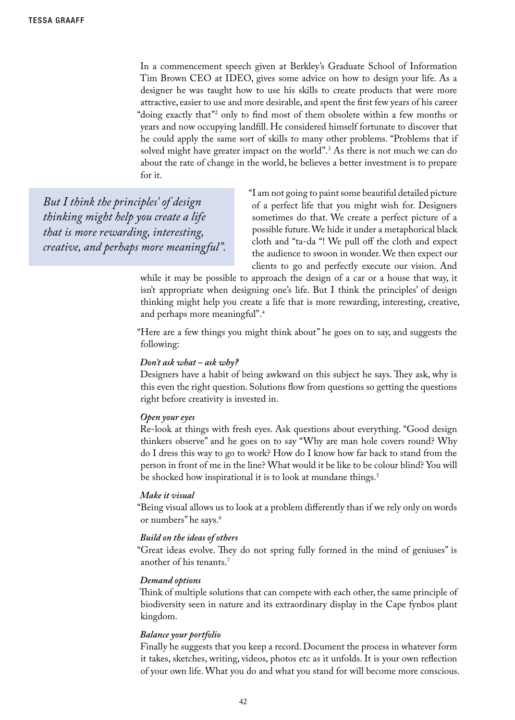In a commencement speech given at Berkley's Graduate School of Information Tim Brown CEO at IDEO, gives some advice on how to design your life. As a designer he was taught how to use his skills to create products that were more attractive, easier to use and more desirable, and spent the first few years of his career "doing exactly that"2 only to find most of them obsolete within a few months or years and now occupying landfill. He considered himself fortunate to discover that he could apply the same sort of skills to many other problems. "Problems that if solved might have greater impact on the world".<sup>3</sup> As there is not much we can do about the rate of change in the world, he believes a better investment is to prepare for it.

*But I think the principles' of design thinking might help you create a life that is more rewarding, interesting, creative, and perhaps more meaningful".* "I am not going to paint some beautiful detailed picture of a perfect life that you might wish for. Designers sometimes do that. We create a perfect picture of a possible future. We hide it under a metaphorical black cloth and "ta-da "! We pull off the cloth and expect the audience to swoon in wonder. We then expect our clients to go and perfectly execute our vision. And

while it may be possible to approach the design of a car or a house that way, it isn't appropriate when designing one's life. But I think the principles' of design thinking might help you create a life that is more rewarding, interesting, creative, and perhaps more meaningful".4

"Here are a few things you might think about" he goes on to say, and suggests the following:

#### *Don't ask what – ask why?*

Designers have a habit of being awkward on this subject he says. They ask, why is this even the right question. Solutions flow from questions so getting the questions right before creativity is invested in.

#### *Open your eyes*

Re-look at things with fresh eyes. Ask questions about everything. "Good design thinkers observe" and he goes on to say "Why are man hole covers round? Why do I dress this way to go to work? How do I know how far back to stand from the person in front of me in the line? What would it be like to be colour blind? You will be shocked how inspirational it is to look at mundane things.<sup>5</sup>

#### *Make it visual*

"Being visual allows us to look at a problem differently than if we rely only on words or numbers" he says.<sup>6</sup>

#### *Build on the ideas of others*

"Great ideas evolve. They do not spring fully formed in the mind of geniuses" is another of his tenants.7

#### *Demand options*

Think of multiple solutions that can compete with each other, the same principle of biodiversity seen in nature and its extraordinary display in the Cape fynbos plant kingdom.

#### *Balance your portfolio*

Finally he suggests that you keep a record. Document the process in whatever form it takes, sketches, writing, videos, photos etc as it unfolds. It is your own reflection of your own life. What you do and what you stand for will become more conscious.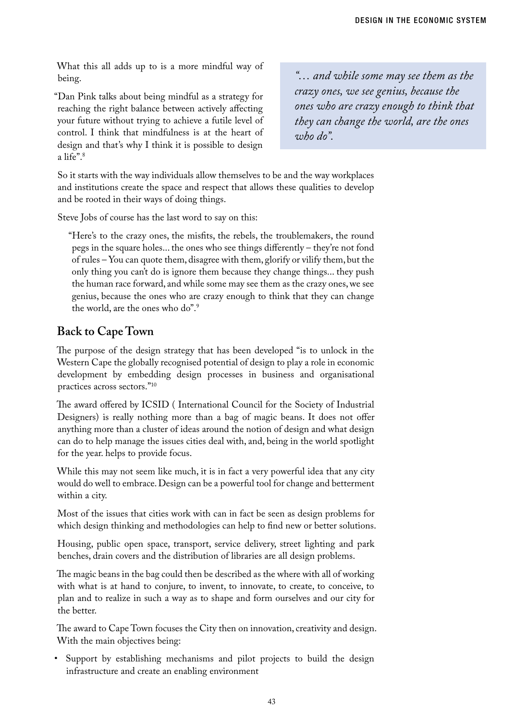What this all adds up to is a more mindful way of being.

"Dan Pink talks about being mindful as a strategy for reaching the right balance between actively affecting your future without trying to achieve a futile level of control. I think that mindfulness is at the heart of design and that's why I think it is possible to design a life".8

*"… and while some may see them as the crazy ones, we see genius, because the ones who are crazy enough to think that they can change the world, are the ones who do".*

So it starts with the way individuals allow themselves to be and the way workplaces and institutions create the space and respect that allows these qualities to develop and be rooted in their ways of doing things.

Steve Jobs of course has the last word to say on this:

"Here's to the crazy ones, the misfits, the rebels, the troublemakers, the round pegs in the square holes... the ones who see things differently – they're not fond of rules – You can quote them, disagree with them, glorify or vilify them, but the only thing you can't do is ignore them because they change things... they push the human race forward, and while some may see them as the crazy ones, we see genius, because the ones who are crazy enough to think that they can change the world, are the ones who do".9

# **Back to Cape Town**

The purpose of the design strategy that has been developed "is to unlock in the Western Cape the globally recognised potential of design to play a role in economic development by embedding design processes in business and organisational practices across sectors."10

The award offered by ICSID ( International Council for the Society of Industrial Designers) is really nothing more than a bag of magic beans. It does not offer anything more than a cluster of ideas around the notion of design and what design can do to help manage the issues cities deal with, and, being in the world spotlight for the year. helps to provide focus.

While this may not seem like much, it is in fact a very powerful idea that any city would do well to embrace. Design can be a powerful tool for change and betterment within a city.

Most of the issues that cities work with can in fact be seen as design problems for which design thinking and methodologies can help to find new or better solutions.

Housing, public open space, transport, service delivery, street lighting and park benches, drain covers and the distribution of libraries are all design problems.

The magic beans in the bag could then be described as the where with all of working with what is at hand to conjure, to invent, to innovate, to create, to conceive, to plan and to realize in such a way as to shape and form ourselves and our city for the better.

The award to Cape Town focuses the City then on innovation, creativity and design. With the main objectives being:

• Support by establishing mechanisms and pilot projects to build the design infrastructure and create an enabling environment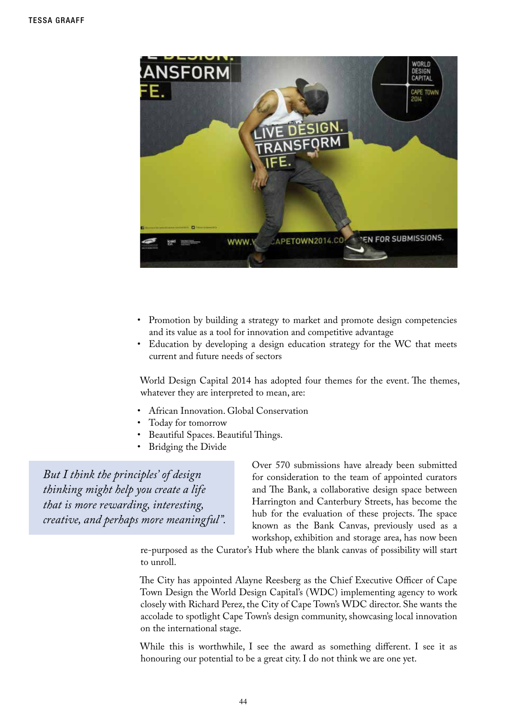

- Promotion by building a strategy to market and promote design competencies and its value as a tool for innovation and competitive advantage
- Education by developing a design education strategy for the WC that meets current and future needs of sectors

World Design Capital 2014 has adopted four themes for the event. The themes, whatever they are interpreted to mean, are:

- African Innovation. Global Conservation
- Today for tomorrow
- Beautiful Spaces. Beautiful Things.
- **Bridging the Divide**

*But I think the principles' of design thinking might help you create a life that is more rewarding, interesting, creative, and perhaps more meaningful".* Over 570 submissions have already been submitted for consideration to the team of appointed curators and The Bank, a collaborative design space between Harrington and Canterbury Streets, has become the hub for the evaluation of these projects. The space known as the Bank Canvas, previously used as a workshop, exhibition and storage area, has now been

re-purposed as the Curator's Hub where the blank canvas of possibility will start to unroll.

The City has appointed Alayne Reesberg as the Chief Executive Officer of Cape Town Design the World Design Capital's (WDC) implementing agency to work closely with Richard Perez, the City of Cape Town's WDC director. She wants the accolade to spotlight Cape Town's design community, showcasing local innovation on the international stage.

While this is worthwhile, I see the award as something different. I see it as honouring our potential to be a great city. I do not think we are one yet.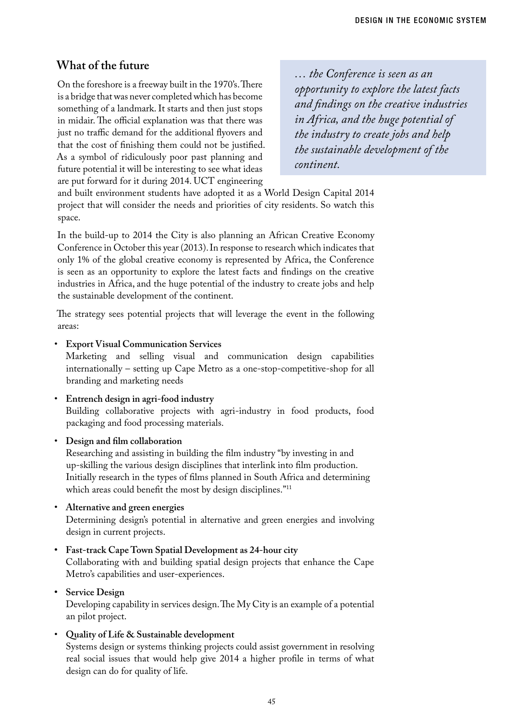# **What of the future**

On the foreshore is a freeway built in the 1970's. There is a bridge that was never completed which has become something of a landmark. It starts and then just stops in midair. The official explanation was that there was just no traffic demand for the additional flyovers and that the cost of finishing them could not be justified. As a symbol of ridiculously poor past planning and future potential it will be interesting to see what ideas are put forward for it during 2014. UCT engineering

*… the Conference is seen as an opportunity to explore the latest facts and findings on the creative industries in Africa, and the huge potential of the industry to create jobs and help the sustainable development of the continent.*

and built environment students have adopted it as a World Design Capital 2014 project that will consider the needs and priorities of city residents. So watch this space.

In the build-up to 2014 the City is also planning an African Creative Economy Conference in October this year (2013). In response to research which indicates that only 1% of the global creative economy is represented by Africa, the Conference is seen as an opportunity to explore the latest facts and findings on the creative industries in Africa, and the huge potential of the industry to create jobs and help the sustainable development of the continent.

The strategy sees potential projects that will leverage the event in the following areas:

**Export Visual Communication Services** 

Marketing and selling visual and communication design capabilities internationally – setting up Cape Metro as a one-stop-competitive-shop for all branding and marketing needs

- • **Entrench design in agri-food industry** Building collaborative projects with agri-industry in food products, food packaging and food processing materials.
- • **Design and film collaboration**

Researching and assisting in building the film industry "by investing in and up-skilling the various design disciplines that interlink into film production. Initially research in the types of films planned in South Africa and determining which areas could benefit the most by design disciplines."<sup>11</sup>

- • **Alternative and green energies** Determining design's potential in alternative and green energies and involving design in current projects.
- **• Fast-track Cape Town Spatial Development as 24-hour city** Collaborating with and building spatial design projects that enhance the Cape

Metro's capabilities and user-experiences.

**Service** Design

Developing capability in services design. The My City is an example of a potential an pilot project.

• **Quality of Life & Sustainable development**

Systems design or systems thinking projects could assist government in resolving real social issues that would help give 2014 a higher profile in terms of what design can do for quality of life.